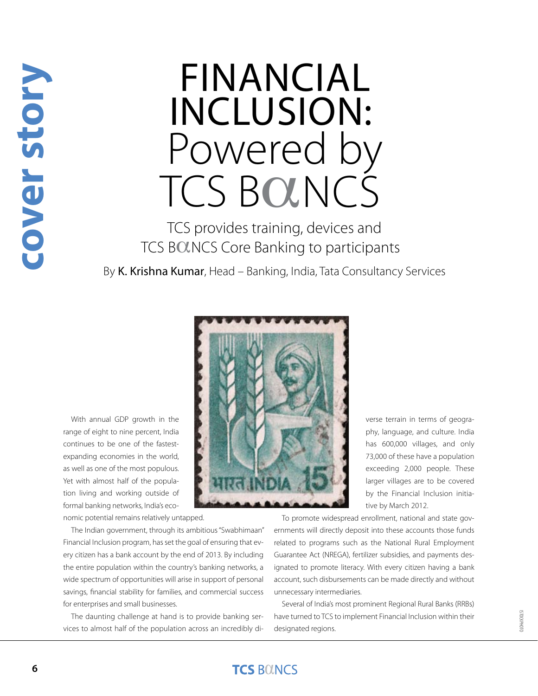# Financial Inclusion: Powered by TCS BOLNCS

TCS provides training, devices and TCS BOLNCS Core Banking to participants

By K. Krishna Kumar, Head – Banking, India, Tata Consultancy Services

With annual GDP growth in the range of eight to nine percent, India continues to be one of the fastestexpanding economies in the world, as well as one of the most populous. Yet with almost half of the population living and working outside of formal banking networks, India's economic potential remains relatively untapped.

The Indian government, through its ambitious "Swabhimaan"

Financial Inclusion program, has set the goal of ensuring that every citizen has a bank account by the end of 2013. By including the entire population within the country's banking networks, a wide spectrum of opportunities will arise in support of personal savings, financial stability for families, and commercial success for enterprises and small businesses.

The daunting challenge at hand is to provide banking services to almost half of the population across an incredibly diverse terrain in terms of geography, language, and culture. India has 600,000 villages, and only 73,000 of these have a population exceeding 2,000 people. These larger villages are to be covered by the Financial Inclusion initiative by March 2012.

To promote widespread enrollment, national and state governments will directly deposit into these accounts those funds related to programs such as the National Rural Employment Guarantee Act (NREGA), fertilizer subsidies, and payments designated to promote literacy. With every citizen having a bank account, such disbursements can be made directly and without unnecessary intermediaries.

Several of India's most prominent Regional Rural Banks (RRBs) have turned to TCS to implement Financial Inclusion within their designated regions.

#### **TCS BOUNCS**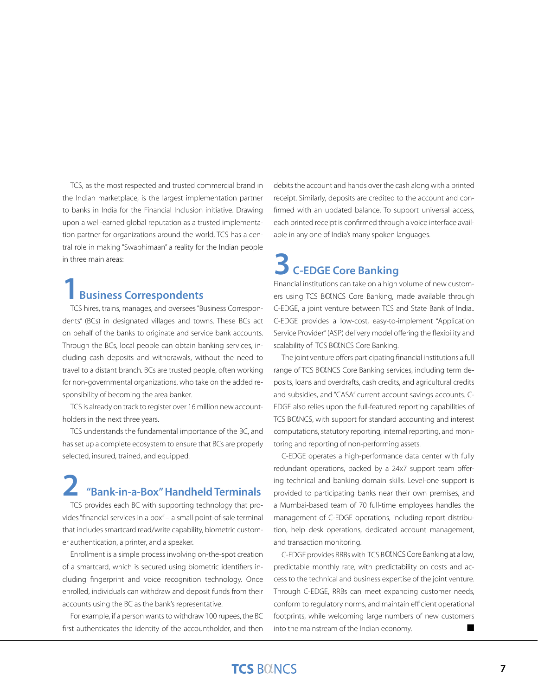TCS, as the most respected and trusted commercial brand in the Indian marketplace, is the largest implementation partner to banks in India for the Financial Inclusion initiative. Drawing upon a well-earned global reputation as a trusted implementation partner for organizations around the world, TCS has a central role in making "Swabhimaan" a reality for the Indian people in three main areas:

#### **1Business Correspondents**

TCS hires, trains, manages, and oversees "Business Correspondents" (BCs) in designated villages and towns. These BCs act on behalf of the banks to originate and service bank accounts. Through the BCs, local people can obtain banking services, including cash deposits and withdrawals, without the need to travel to a distant branch. BCs are trusted people, often working for non-governmental organizations, who take on the added responsibility of becoming the area banker.

TCS is already on track to register over 16 million new accountholders in the next three years.

TCS understands the fundamental importance of the BC, and has set up a complete ecosystem to ensure that BCs are properly selected, insured, trained, and equipped.

## **2 "Bank-in-a-Box" Handheld Terminals**

TCS provides each BC with supporting technology that provides "financial services in a box" – a small point-of-sale terminal that includes smartcard read/write capability, biometric customer authentication, a printer, and a speaker.

Enrollment is a simple process involving on-the-spot creation of a smartcard, which is secured using biometric identifiers including fingerprint and voice recognition technology. Once enrolled, individuals can withdraw and deposit funds from their accounts using the BC as the bank's representative.

For example, if a person wants to withdraw 100 rupees, the BC first authenticates the identity of the accountholder, and then

debits the account and hands over the cash along with a printed receipt. Similarly, deposits are credited to the account and confirmed with an updated balance. To support universal access, each printed receipt is confirmed through a voice interface available in any one of India's many spoken languages.

## **3 C-EDGE Core Banking**

Financial institutions can take on a high volume of new customers using TCS BOLNCS Core Banking, made available through C-EDGE, a joint venture between TCS and State Bank of India.. C-EDGE provides a low-cost, easy-to-implement "Application Service Provider" (ASP) delivery model offering the flexibility and scalability of TCS BOLNCS Core Banking.

The joint venture offers participating financial institutions a full range of TCS BOLNCS Core Banking services, including term deposits, loans and overdrafts, cash credits, and agricultural credits and subsidies, and "CASA" current account savings accounts. C-EDGE also relies upon the full-featured reporting capabilities of TCS BOLNCS, with support for standard accounting and interest computations, statutory reporting, internal reporting, and monitoring and reporting of non-performing assets.

C-EDGE operates a high-performance data center with fully redundant operations, backed by a 24x7 support team offering technical and banking domain skills. Level-one support is provided to participating banks near their own premises, and a Mumbai-based team of 70 full-time employees handles the management of C-EDGE operations, including report distribution, help desk operations, dedicated account management, and transaction monitoring.

C-EDGE provides RRBs with TCS BOLNCS Core Banking at a low, predictable monthly rate, with predictability on costs and access to the technical and business expertise of the joint venture. Through C-EDGE, RRBs can meet expanding customer needs, conform to regulatory norms, and maintain efficient operational footprints, while welcoming large numbers of new customers into the mainstream of the Indian economy.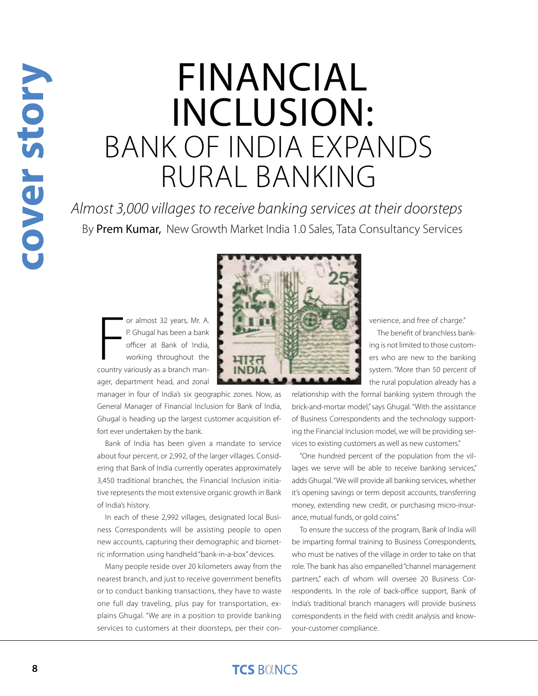## Financial Inclusion: Bank of India Expands rural banking

*Almost 3,000 villages to receive banking services at their doorsteps* By Prem Kumar, New Growth Market India 1.0 Sales, Tata Consultancy Services

or almost 32 years, Mr. A.<br>
P. Ghugal has been a bank<br>
officer at Bank of India,<br>
working throughout the<br>
country variously as a branch manor almost 32 years, Mr. A. P. Ghugal has been a bank officer at Bank of India, working throughout the ager, department head, and zonal

manager in four of India's six geographic zones. Now, as General Manager of Financial Inclusion for Bank of India, Ghugal is heading up the largest customer acquisition effort ever undertaken by the bank.

Bank of India has been given a mandate to service about four percent, or 2,992, of the larger villages. Considering that Bank of India currently operates approximately 3,450 traditional branches, the Financial Inclusion initiative represents the most extensive organic growth in Bank of India's history.

In each of these 2,992 villages, designated local Business Correspondents will be assisting people to open new accounts, capturing their demographic and biometric information using handheld "bank-in-a-box" devices.

Many people reside over 20 kilometers away from the nearest branch, and just to receive government benefits or to conduct banking transactions, they have to waste one full day traveling, plus pay for transportation, explains Ghugal. "We are in a position to provide banking services to customers at their doorsteps, per their con-

venience, and free of charge." The benefit of branchless banking is not limited to those customers who are new to the banking system. "More than 50 percent of the rural population already has a

relationship with the formal banking system through the brick-and-mortar model," says Ghugal. "With the assistance of Business Correspondents and the technology supporting the Financial Inclusion model, we will be providing services to existing customers as well as new customers."

"One hundred percent of the population from the villages we serve will be able to receive banking services," adds Ghugal. "We will provide all banking services, whether it's opening savings or term deposit accounts, transferring money, extending new credit, or purchasing micro-insurance, mutual funds, or gold coins."

To ensure the success of the program, Bank of India will be imparting formal training to Business Correspondents, who must be natives of the village in order to take on that role. The bank has also empanelled "channel management partners," each of whom will oversee 20 Business Correspondents. In the role of back-office support, Bank of India's traditional branch managers will provide business correspondents in the field with credit analysis and knowyour-customer compliance.

### **TCS BOINCS**

**cover story**Cover story